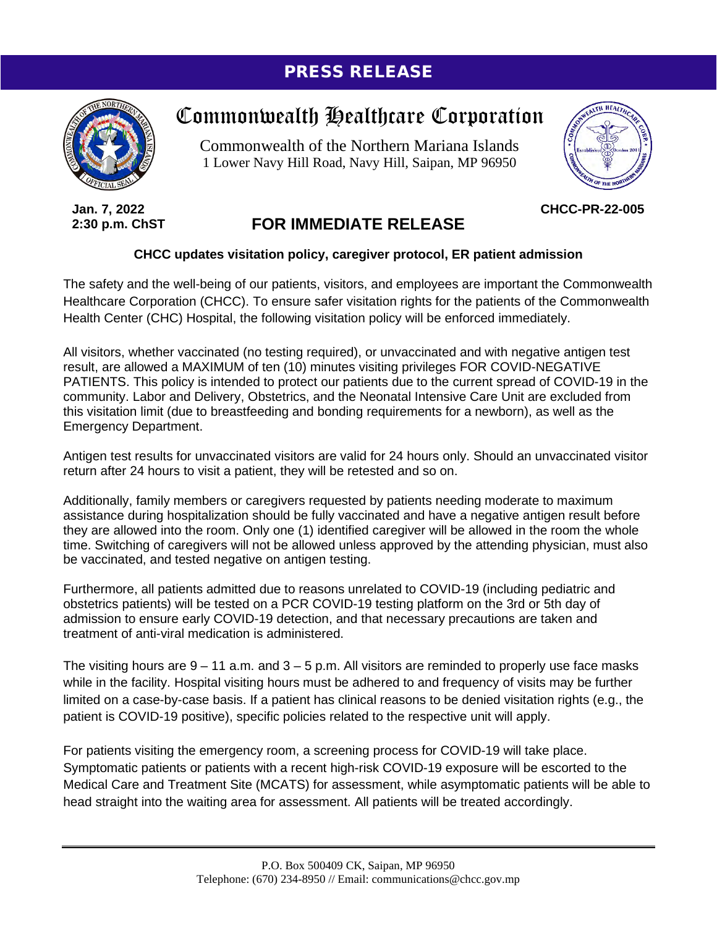## PRESS RELEASE



Commonwealth Healthcare Corporation

Commonwealth of the Northern Mariana Islands 1 Lower Navy Hill Road, Navy Hill, Saipan, MP 96950



**CHCC-PR-22-005**

**Jan. 7, 2022 2:30 p.m. ChST**

## **FOR IMMEDIATE RELEASE**

## **CHCC updates visitation policy, caregiver protocol, ER patient admission**

The safety and the well-being of our patients, visitors, and employees are important the Commonwealth Healthcare Corporation (CHCC). To ensure safer visitation rights for the patients of the Commonwealth Health Center (CHC) Hospital, the following visitation policy will be enforced immediately.

All visitors, whether vaccinated (no testing required), or unvaccinated and with negative antigen test result, are allowed a MAXIMUM of ten (10) minutes visiting privileges FOR COVID-NEGATIVE PATIENTS. This policy is intended to protect our patients due to the current spread of COVID-19 in the community. Labor and Delivery, Obstetrics, and the Neonatal Intensive Care Unit are excluded from this visitation limit (due to breastfeeding and bonding requirements for a newborn), as well as the Emergency Department.

Antigen test results for unvaccinated visitors are valid for 24 hours only. Should an unvaccinated visitor return after 24 hours to visit a patient, they will be retested and so on.

Additionally, family members or caregivers requested by patients needing moderate to maximum assistance during hospitalization should be fully vaccinated and have a negative antigen result before they are allowed into the room. Only one (1) identified caregiver will be allowed in the room the whole time. Switching of caregivers will not be allowed unless approved by the attending physician, must also be vaccinated, and tested negative on antigen testing.

Furthermore, all patients admitted due to reasons unrelated to COVID-19 (including pediatric and obstetrics patients) will be tested on a PCR COVID-19 testing platform on the 3rd or 5th day of admission to ensure early COVID-19 detection, and that necessary precautions are taken and treatment of anti-viral medication is administered.

The visiting hours are  $9 - 11$  a.m. and  $3 - 5$  p.m. All visitors are reminded to properly use face masks while in the facility. Hospital visiting hours must be adhered to and frequency of visits may be further limited on a case-by-case basis. If a patient has clinical reasons to be denied visitation rights (e.g., the patient is COVID-19 positive), specific policies related to the respective unit will apply.

For patients visiting the emergency room, a screening process for COVID-19 will take place. Symptomatic patients or patients with a recent high-risk COVID-19 exposure will be escorted to the Medical Care and Treatment Site (MCATS) for assessment, while asymptomatic patients will be able to head straight into the waiting area for assessment. All patients will be treated accordingly.